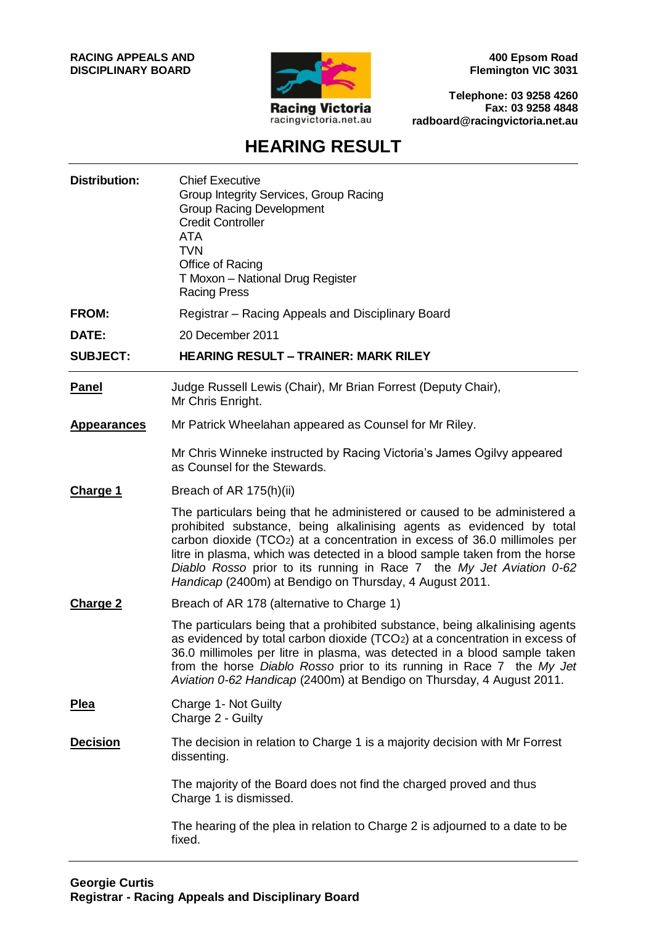

**400 Epsom Road Flemington VIC 3031**

**Telephone: 03 9258 4260 Fax: 03 9258 4848 radboard@racingvictoria.net.au**

# **HEARING RESULT**

| <b>Distribution:</b> | <b>Chief Executive</b><br>Group Integrity Services, Group Racing<br><b>Group Racing Development</b><br><b>Credit Controller</b><br>ATA<br><b>TVN</b><br>Office of Racing<br>T Moxon - National Drug Register<br><b>Racing Press</b>                                                                                                                                                                                                                           |
|----------------------|---------------------------------------------------------------------------------------------------------------------------------------------------------------------------------------------------------------------------------------------------------------------------------------------------------------------------------------------------------------------------------------------------------------------------------------------------------------|
| <b>FROM:</b>         | Registrar – Racing Appeals and Disciplinary Board                                                                                                                                                                                                                                                                                                                                                                                                             |
| DATE:                | 20 December 2011                                                                                                                                                                                                                                                                                                                                                                                                                                              |
| <b>SUBJECT:</b>      | <b>HEARING RESULT - TRAINER: MARK RILEY</b>                                                                                                                                                                                                                                                                                                                                                                                                                   |
| <b>Panel</b>         | Judge Russell Lewis (Chair), Mr Brian Forrest (Deputy Chair),<br>Mr Chris Enright.                                                                                                                                                                                                                                                                                                                                                                            |
| <b>Appearances</b>   | Mr Patrick Wheelahan appeared as Counsel for Mr Riley.                                                                                                                                                                                                                                                                                                                                                                                                        |
|                      | Mr Chris Winneke instructed by Racing Victoria's James Ogilvy appeared<br>as Counsel for the Stewards.                                                                                                                                                                                                                                                                                                                                                        |
| Charge 1             | Breach of AR 175(h)(ii)                                                                                                                                                                                                                                                                                                                                                                                                                                       |
|                      | The particulars being that he administered or caused to be administered a<br>prohibited substance, being alkalinising agents as evidenced by total<br>carbon dioxide (TCO <sub>2</sub> ) at a concentration in excess of 36.0 millimoles per<br>litre in plasma, which was detected in a blood sample taken from the horse<br>Diablo Rosso prior to its running in Race 7 the My Jet Aviation 0-62<br>Handicap (2400m) at Bendigo on Thursday, 4 August 2011. |
| <b>Charge 2</b>      | Breach of AR 178 (alternative to Charge 1)                                                                                                                                                                                                                                                                                                                                                                                                                    |
|                      | The particulars being that a prohibited substance, being alkalinising agents<br>as evidenced by total carbon dioxide (TCO2) at a concentration in excess of<br>36.0 millimoles per litre in plasma, was detected in a blood sample taken<br>from the horse Diablo Rosso prior to its running in Race 7 the My Jet<br>Aviation 0-62 Handicap (2400m) at Bendigo on Thursday, 4 August 2011.                                                                    |
| <b>Plea</b>          | Charge 1- Not Guilty<br>Charge 2 - Guilty                                                                                                                                                                                                                                                                                                                                                                                                                     |
| <b>Decision</b>      | The decision in relation to Charge 1 is a majority decision with Mr Forrest<br>dissenting.                                                                                                                                                                                                                                                                                                                                                                    |
|                      | The majority of the Board does not find the charged proved and thus<br>Charge 1 is dismissed.                                                                                                                                                                                                                                                                                                                                                                 |
|                      | The hearing of the plea in relation to Charge 2 is adjourned to a date to be<br>fixed.                                                                                                                                                                                                                                                                                                                                                                        |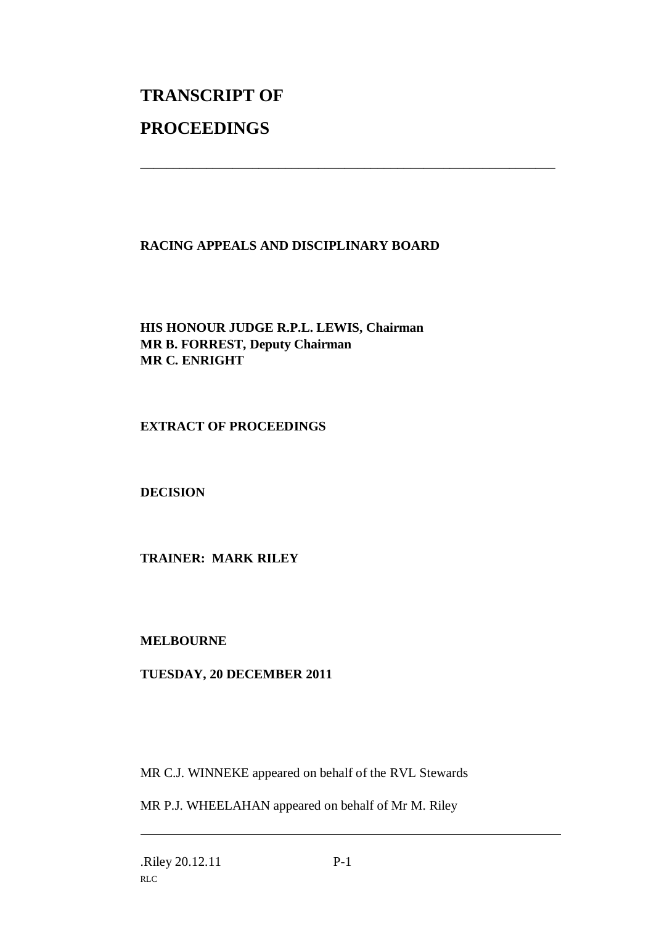# **TRANSCRIPT OF PROCEEDINGS**

# **RACING APPEALS AND DISCIPLINARY BOARD**

\_\_\_\_\_\_\_\_\_\_\_\_\_\_\_\_\_\_\_\_\_\_\_\_\_\_\_\_\_\_\_\_\_\_\_\_\_\_\_\_\_\_\_\_\_\_\_\_\_\_\_\_\_\_\_\_\_\_\_\_\_\_\_

# **HIS HONOUR JUDGE R.P.L. LEWIS, Chairman MR B. FORREST, Deputy Chairman MR C. ENRIGHT**

#### **EXTRACT OF PROCEEDINGS**

#### **DECISION**

#### **TRAINER: MARK RILEY**

#### **MELBOURNE**

# **TUESDAY, 20 DECEMBER 2011**

MR C.J. WINNEKE appeared on behalf of the RVL Stewards

MR P.J. WHEELAHAN appeared on behalf of Mr M. Riley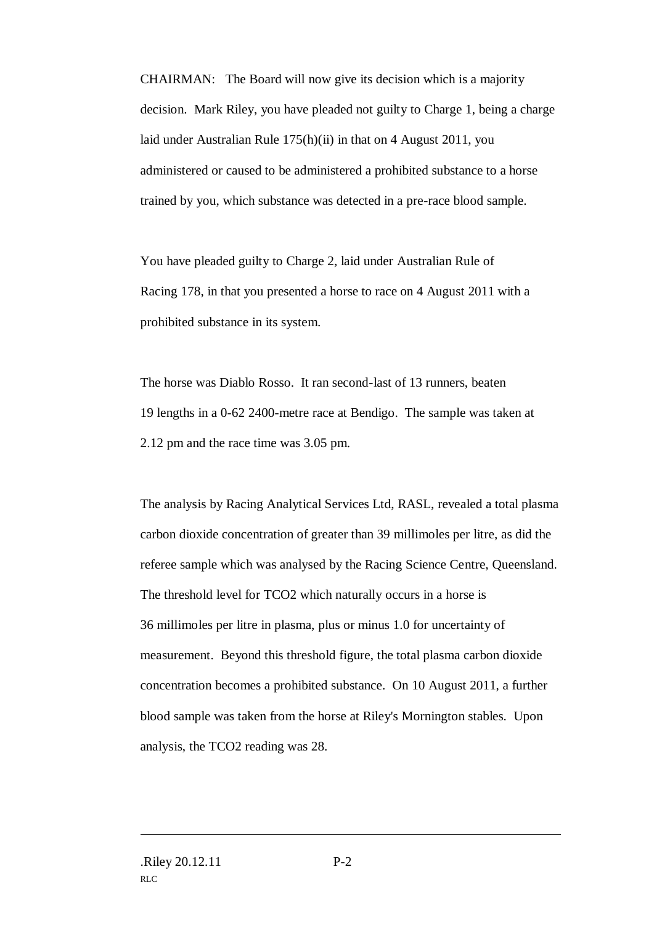CHAIRMAN: The Board will now give its decision which is a majority decision. Mark Riley, you have pleaded not guilty to Charge 1, being a charge laid under Australian Rule 175(h)(ii) in that on 4 August 2011, you administered or caused to be administered a prohibited substance to a horse trained by you, which substance was detected in a pre-race blood sample.

You have pleaded guilty to Charge 2, laid under Australian Rule of Racing 178, in that you presented a horse to race on 4 August 2011 with a prohibited substance in its system.

The horse was Diablo Rosso. It ran second-last of 13 runners, beaten 19 lengths in a 0-62 2400-metre race at Bendigo. The sample was taken at 2.12 pm and the race time was 3.05 pm.

The analysis by Racing Analytical Services Ltd, RASL, revealed a total plasma carbon dioxide concentration of greater than 39 millimoles per litre, as did the referee sample which was analysed by the Racing Science Centre, Queensland. The threshold level for TCO2 which naturally occurs in a horse is 36 millimoles per litre in plasma, plus or minus 1.0 for uncertainty of measurement. Beyond this threshold figure, the total plasma carbon dioxide concentration becomes a prohibited substance. On 10 August 2011, a further blood sample was taken from the horse at Riley's Mornington stables. Upon analysis, the TCO2 reading was 28.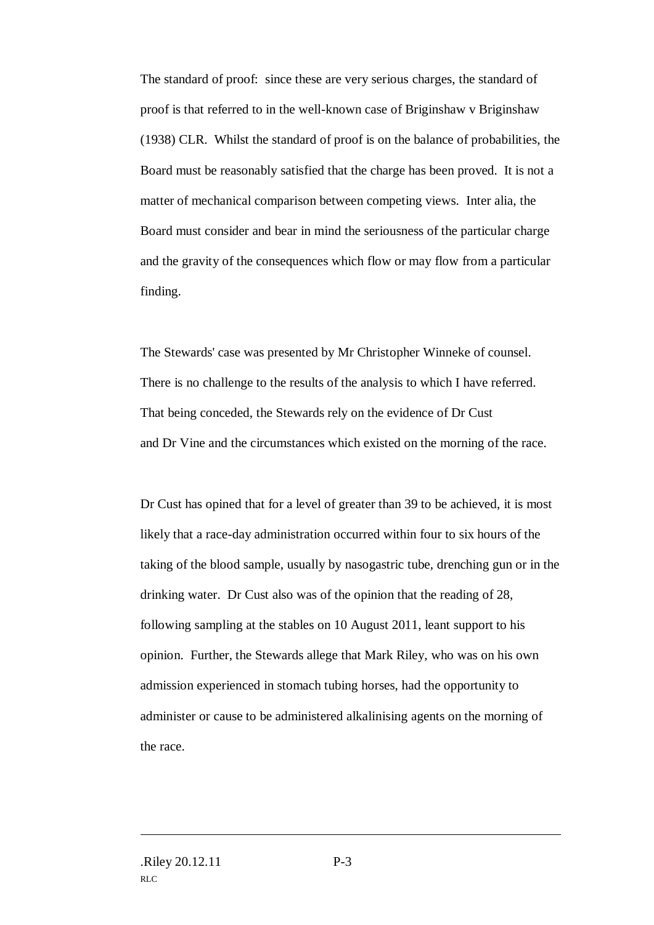The standard of proof: since these are very serious charges, the standard of proof is that referred to in the well-known case of Briginshaw v Briginshaw (1938) CLR. Whilst the standard of proof is on the balance of probabilities, the Board must be reasonably satisfied that the charge has been proved. It is not a matter of mechanical comparison between competing views. Inter alia, the Board must consider and bear in mind the seriousness of the particular charge and the gravity of the consequences which flow or may flow from a particular finding.

The Stewards' case was presented by Mr Christopher Winneke of counsel. There is no challenge to the results of the analysis to which I have referred. That being conceded, the Stewards rely on the evidence of Dr Cust and Dr Vine and the circumstances which existed on the morning of the race.

Dr Cust has opined that for a level of greater than 39 to be achieved, it is most likely that a race-day administration occurred within four to six hours of the taking of the blood sample, usually by nasogastric tube, drenching gun or in the drinking water. Dr Cust also was of the opinion that the reading of 28, following sampling at the stables on 10 August 2011, leant support to his opinion. Further, the Stewards allege that Mark Riley, who was on his own admission experienced in stomach tubing horses, had the opportunity to administer or cause to be administered alkalinising agents on the morning of the race.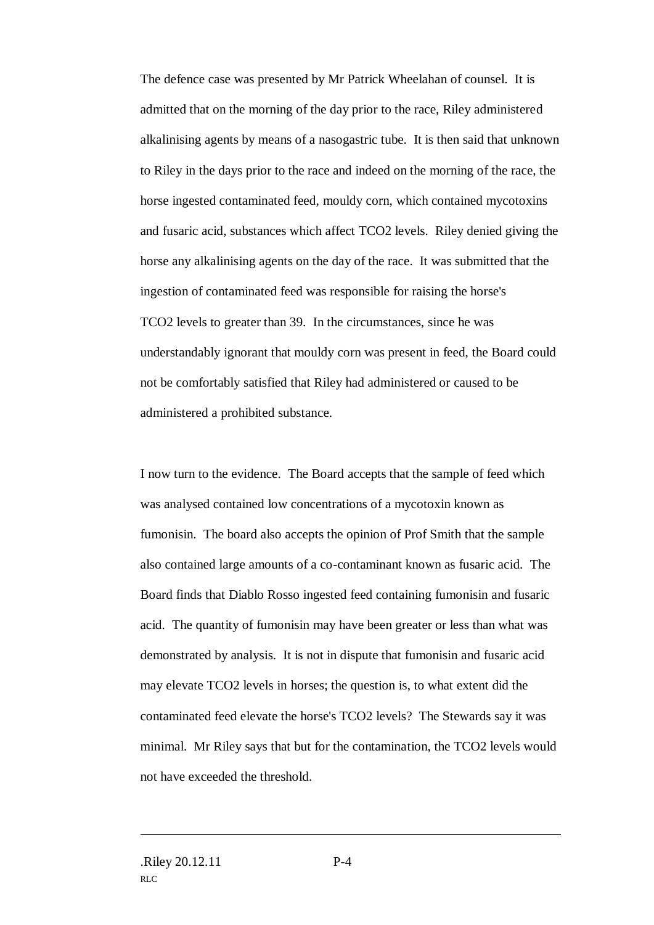The defence case was presented by Mr Patrick Wheelahan of counsel. It is admitted that on the morning of the day prior to the race, Riley administered alkalinising agents by means of a nasogastric tube. It is then said that unknown to Riley in the days prior to the race and indeed on the morning of the race, the horse ingested contaminated feed, mouldy corn, which contained mycotoxins and fusaric acid, substances which affect TCO2 levels. Riley denied giving the horse any alkalinising agents on the day of the race. It was submitted that the ingestion of contaminated feed was responsible for raising the horse's TCO2 levels to greater than 39. In the circumstances, since he was understandably ignorant that mouldy corn was present in feed, the Board could not be comfortably satisfied that Riley had administered or caused to be administered a prohibited substance.

I now turn to the evidence. The Board accepts that the sample of feed which was analysed contained low concentrations of a mycotoxin known as fumonisin. The board also accepts the opinion of Prof Smith that the sample also contained large amounts of a co-contaminant known as fusaric acid. The Board finds that Diablo Rosso ingested feed containing fumonisin and fusaric acid. The quantity of fumonisin may have been greater or less than what was demonstrated by analysis. It is not in dispute that fumonisin and fusaric acid may elevate TCO2 levels in horses; the question is, to what extent did the contaminated feed elevate the horse's TCO2 levels? The Stewards say it was minimal. Mr Riley says that but for the contamination, the TCO2 levels would not have exceeded the threshold.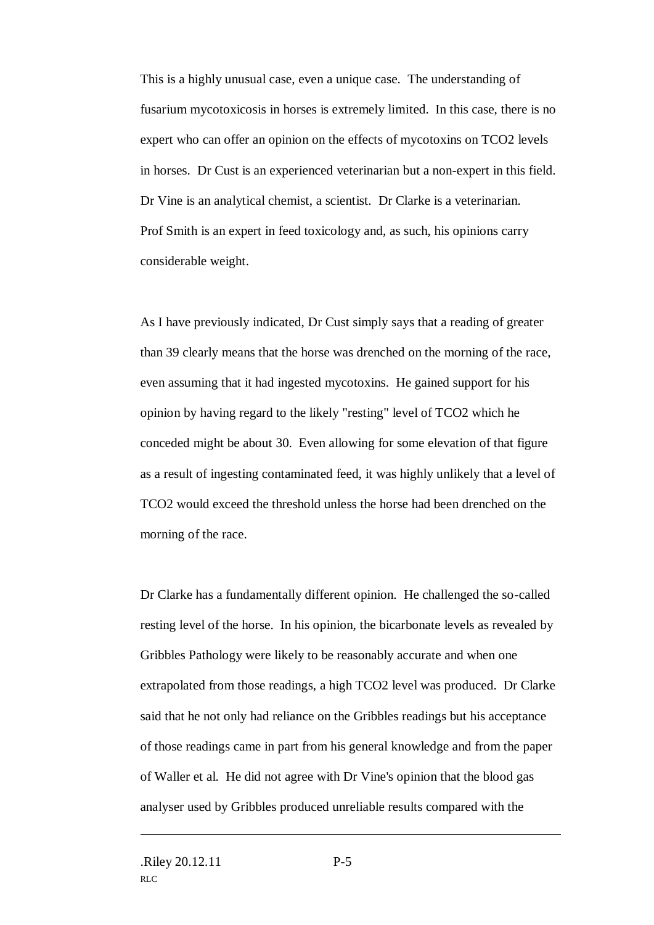This is a highly unusual case, even a unique case. The understanding of fusarium mycotoxicosis in horses is extremely limited. In this case, there is no expert who can offer an opinion on the effects of mycotoxins on TCO2 levels in horses. Dr Cust is an experienced veterinarian but a non-expert in this field. Dr Vine is an analytical chemist, a scientist. Dr Clarke is a veterinarian. Prof Smith is an expert in feed toxicology and, as such, his opinions carry considerable weight.

As I have previously indicated, Dr Cust simply says that a reading of greater than 39 clearly means that the horse was drenched on the morning of the race, even assuming that it had ingested mycotoxins. He gained support for his opinion by having regard to the likely "resting" level of TCO2 which he conceded might be about 30. Even allowing for some elevation of that figure as a result of ingesting contaminated feed, it was highly unlikely that a level of TCO2 would exceed the threshold unless the horse had been drenched on the morning of the race.

Dr Clarke has a fundamentally different opinion. He challenged the so-called resting level of the horse. In his opinion, the bicarbonate levels as revealed by Gribbles Pathology were likely to be reasonably accurate and when one extrapolated from those readings, a high TCO2 level was produced. Dr Clarke said that he not only had reliance on the Gribbles readings but his acceptance of those readings came in part from his general knowledge and from the paper of Waller et al. He did not agree with Dr Vine's opinion that the blood gas analyser used by Gribbles produced unreliable results compared with the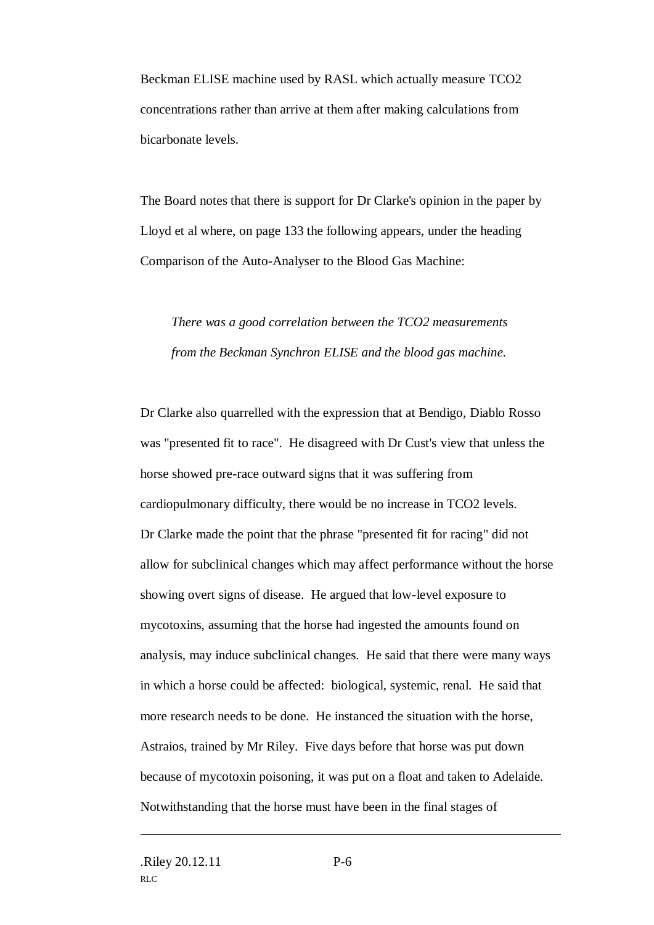Beckman ELISE machine used by RASL which actually measure TCO2 concentrations rather than arrive at them after making calculations from bicarbonate levels.

The Board notes that there is support for Dr Clarke's opinion in the paper by Lloyd et al where, on page 133 the following appears, under the heading Comparison of the Auto-Analyser to the Blood Gas Machine:

*There was a good correlation between the TCO2 measurements from the Beckman Synchron ELISE and the blood gas machine.*

Dr Clarke also quarrelled with the expression that at Bendigo, Diablo Rosso was "presented fit to race". He disagreed with Dr Cust's view that unless the horse showed pre-race outward signs that it was suffering from cardiopulmonary difficulty, there would be no increase in TCO2 levels. Dr Clarke made the point that the phrase "presented fit for racing" did not allow for subclinical changes which may affect performance without the horse showing overt signs of disease. He argued that low-level exposure to mycotoxins, assuming that the horse had ingested the amounts found on analysis, may induce subclinical changes. He said that there were many ways in which a horse could be affected: biological, systemic, renal. He said that more research needs to be done. He instanced the situation with the horse, Astraios, trained by Mr Riley. Five days before that horse was put down because of mycotoxin poisoning, it was put on a float and taken to Adelaide. Notwithstanding that the horse must have been in the final stages of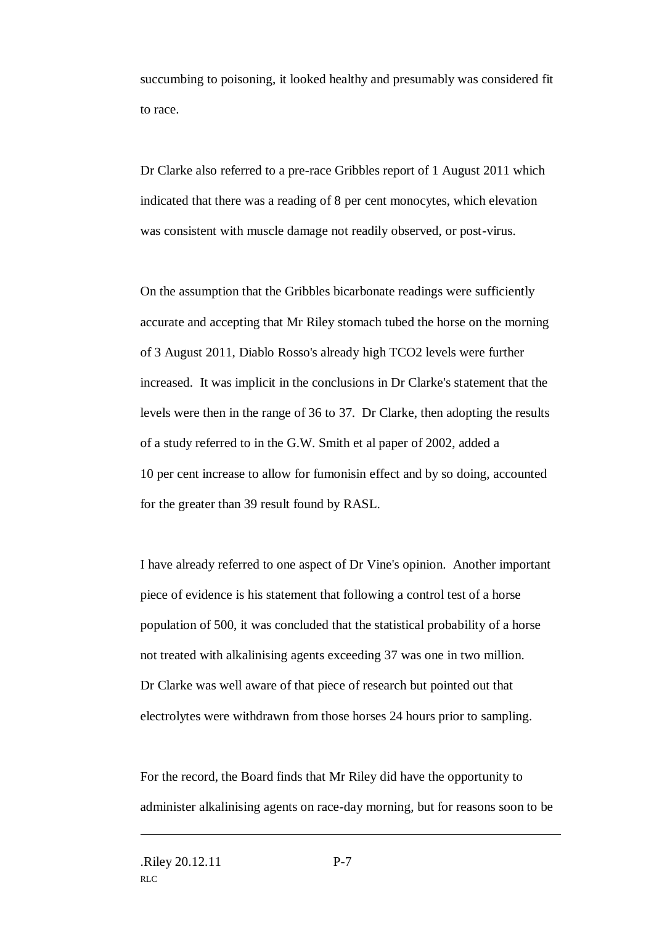succumbing to poisoning, it looked healthy and presumably was considered fit to race.

Dr Clarke also referred to a pre-race Gribbles report of 1 August 2011 which indicated that there was a reading of 8 per cent monocytes, which elevation was consistent with muscle damage not readily observed, or post-virus.

On the assumption that the Gribbles bicarbonate readings were sufficiently accurate and accepting that Mr Riley stomach tubed the horse on the morning of 3 August 2011, Diablo Rosso's already high TCO2 levels were further increased. It was implicit in the conclusions in Dr Clarke's statement that the levels were then in the range of 36 to 37. Dr Clarke, then adopting the results of a study referred to in the G.W. Smith et al paper of 2002, added a 10 per cent increase to allow for fumonisin effect and by so doing, accounted for the greater than 39 result found by RASL.

I have already referred to one aspect of Dr Vine's opinion. Another important piece of evidence is his statement that following a control test of a horse population of 500, it was concluded that the statistical probability of a horse not treated with alkalinising agents exceeding 37 was one in two million. Dr Clarke was well aware of that piece of research but pointed out that electrolytes were withdrawn from those horses 24 hours prior to sampling.

For the record, the Board finds that Mr Riley did have the opportunity to administer alkalinising agents on race-day morning, but for reasons soon to be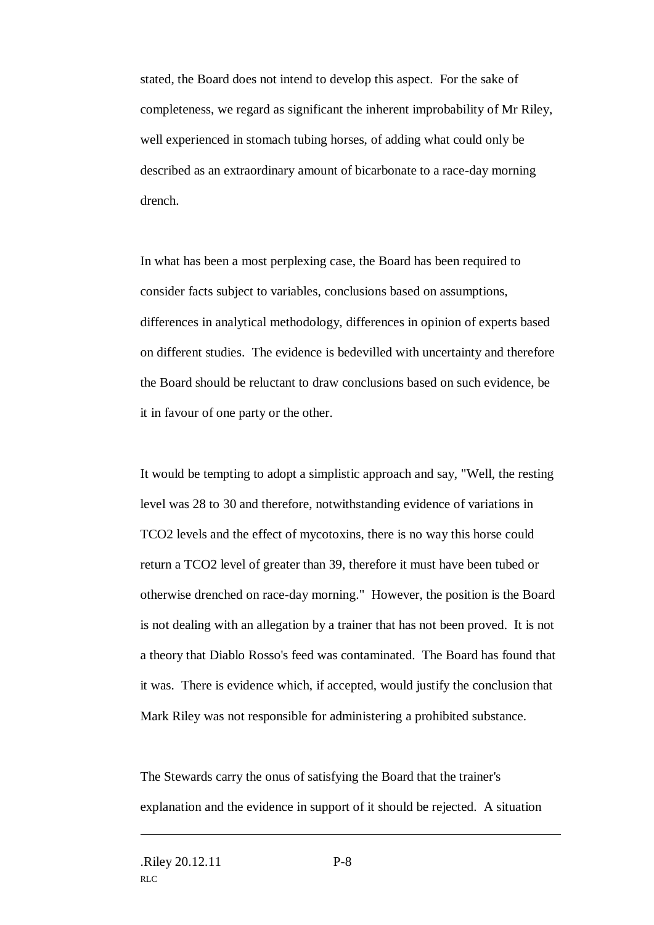stated, the Board does not intend to develop this aspect. For the sake of completeness, we regard as significant the inherent improbability of Mr Riley, well experienced in stomach tubing horses, of adding what could only be described as an extraordinary amount of bicarbonate to a race-day morning drench.

In what has been a most perplexing case, the Board has been required to consider facts subject to variables, conclusions based on assumptions, differences in analytical methodology, differences in opinion of experts based on different studies. The evidence is bedevilled with uncertainty and therefore the Board should be reluctant to draw conclusions based on such evidence, be it in favour of one party or the other.

It would be tempting to adopt a simplistic approach and say, "Well, the resting level was 28 to 30 and therefore, notwithstanding evidence of variations in TCO2 levels and the effect of mycotoxins, there is no way this horse could return a TCO2 level of greater than 39, therefore it must have been tubed or otherwise drenched on race-day morning." However, the position is the Board is not dealing with an allegation by a trainer that has not been proved. It is not a theory that Diablo Rosso's feed was contaminated. The Board has found that it was. There is evidence which, if accepted, would justify the conclusion that Mark Riley was not responsible for administering a prohibited substance.

The Stewards carry the onus of satisfying the Board that the trainer's explanation and the evidence in support of it should be rejected. A situation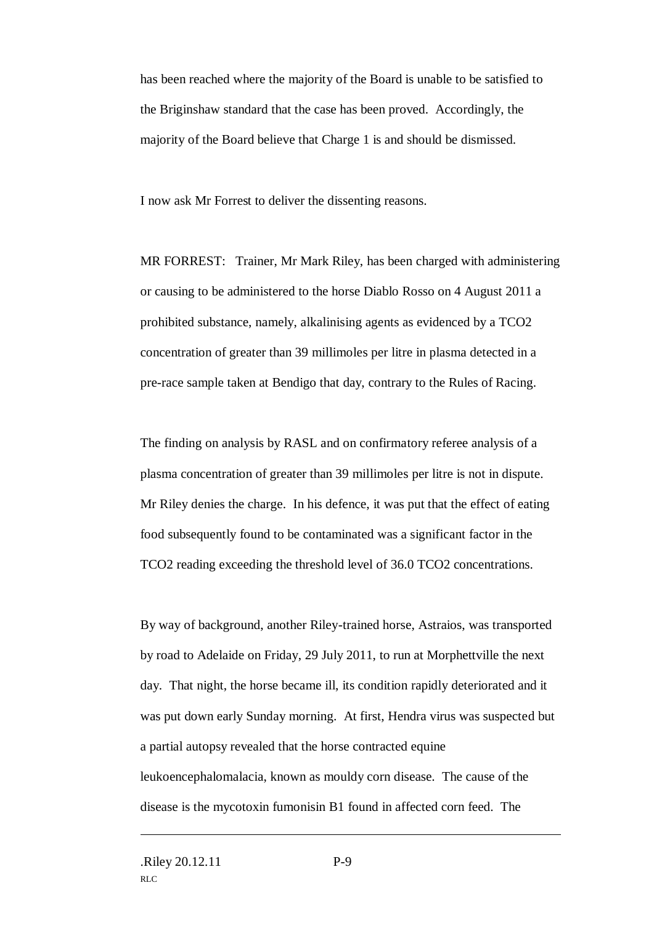has been reached where the majority of the Board is unable to be satisfied to the Briginshaw standard that the case has been proved. Accordingly, the majority of the Board believe that Charge 1 is and should be dismissed.

I now ask Mr Forrest to deliver the dissenting reasons.

MR FORREST: Trainer, Mr Mark Riley, has been charged with administering or causing to be administered to the horse Diablo Rosso on 4 August 2011 a prohibited substance, namely, alkalinising agents as evidenced by a TCO2 concentration of greater than 39 millimoles per litre in plasma detected in a pre-race sample taken at Bendigo that day, contrary to the Rules of Racing.

The finding on analysis by RASL and on confirmatory referee analysis of a plasma concentration of greater than 39 millimoles per litre is not in dispute. Mr Riley denies the charge. In his defence, it was put that the effect of eating food subsequently found to be contaminated was a significant factor in the TCO2 reading exceeding the threshold level of 36.0 TCO2 concentrations.

By way of background, another Riley-trained horse, Astraios, was transported by road to Adelaide on Friday, 29 July 2011, to run at Morphettville the next day. That night, the horse became ill, its condition rapidly deteriorated and it was put down early Sunday morning. At first, Hendra virus was suspected but a partial autopsy revealed that the horse contracted equine leukoencephalomalacia, known as mouldy corn disease. The cause of the disease is the mycotoxin fumonisin B1 found in affected corn feed. The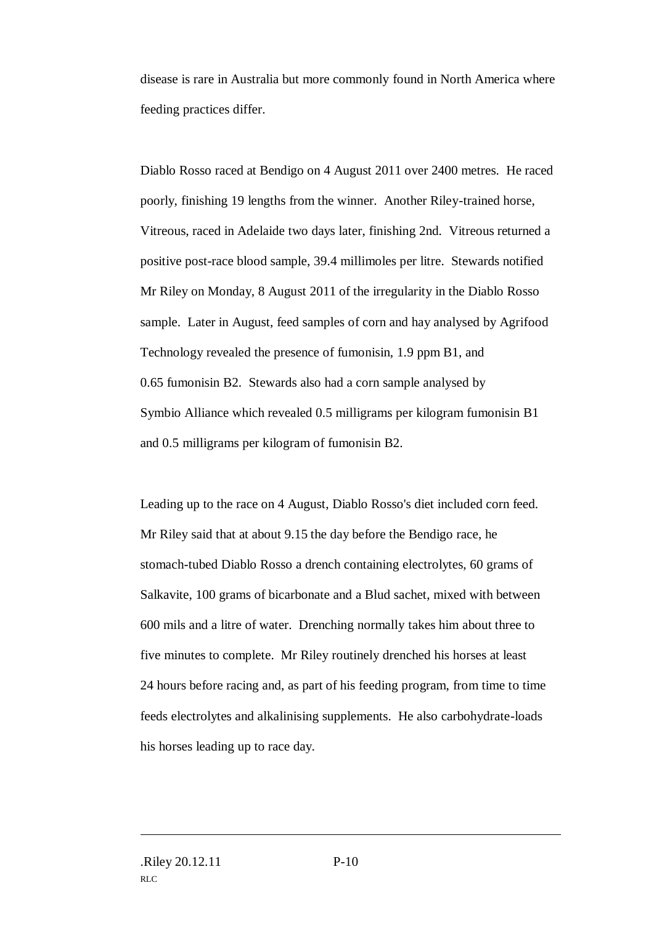disease is rare in Australia but more commonly found in North America where feeding practices differ.

Diablo Rosso raced at Bendigo on 4 August 2011 over 2400 metres. He raced poorly, finishing 19 lengths from the winner. Another Riley-trained horse, Vitreous, raced in Adelaide two days later, finishing 2nd. Vitreous returned a positive post-race blood sample, 39.4 millimoles per litre. Stewards notified Mr Riley on Monday, 8 August 2011 of the irregularity in the Diablo Rosso sample. Later in August, feed samples of corn and hay analysed by Agrifood Technology revealed the presence of fumonisin, 1.9 ppm B1, and 0.65 fumonisin B2. Stewards also had a corn sample analysed by Symbio Alliance which revealed 0.5 milligrams per kilogram fumonisin B1 and 0.5 milligrams per kilogram of fumonisin B2.

Leading up to the race on 4 August, Diablo Rosso's diet included corn feed. Mr Riley said that at about 9.15 the day before the Bendigo race, he stomach-tubed Diablo Rosso a drench containing electrolytes, 60 grams of Salkavite, 100 grams of bicarbonate and a Blud sachet, mixed with between 600 mils and a litre of water. Drenching normally takes him about three to five minutes to complete. Mr Riley routinely drenched his horses at least 24 hours before racing and, as part of his feeding program, from time to time feeds electrolytes and alkalinising supplements. He also carbohydrate-loads his horses leading up to race day.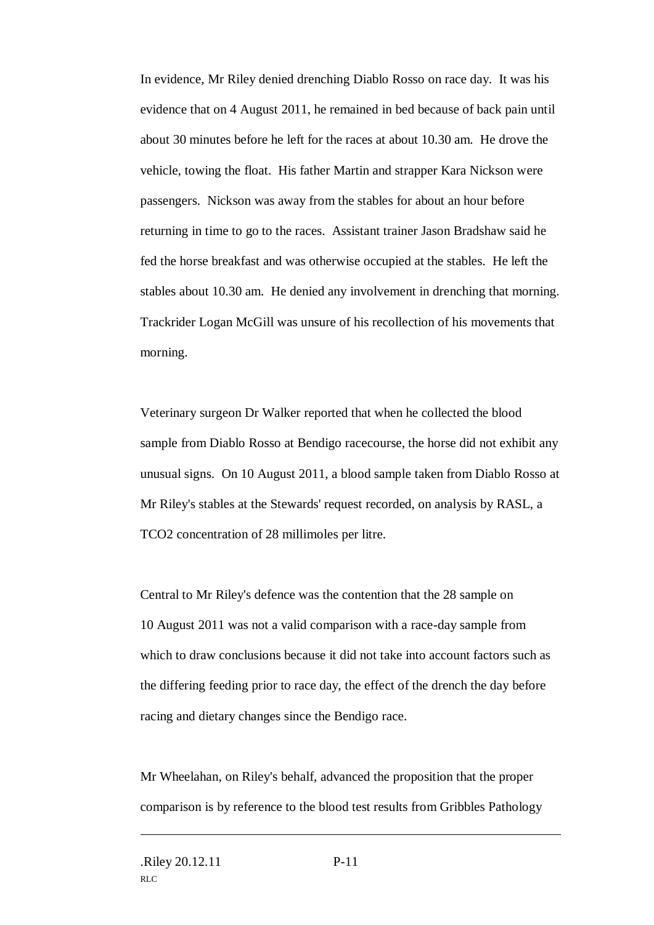In evidence, Mr Riley denied drenching Diablo Rosso on race day. It was his evidence that on 4 August 2011, he remained in bed because of back pain until about 30 minutes before he left for the races at about 10.30 am. He drove the vehicle, towing the float. His father Martin and strapper Kara Nickson were passengers. Nickson was away from the stables for about an hour before returning in time to go to the races. Assistant trainer Jason Bradshaw said he fed the horse breakfast and was otherwise occupied at the stables. He left the stables about 10.30 am. He denied any involvement in drenching that morning. Trackrider Logan McGill was unsure of his recollection of his movements that morning.

Veterinary surgeon Dr Walker reported that when he collected the blood sample from Diablo Rosso at Bendigo racecourse, the horse did not exhibit any unusual signs. On 10 August 2011, a blood sample taken from Diablo Rosso at Mr Riley's stables at the Stewards' request recorded, on analysis by RASL, a TCO2 concentration of 28 millimoles per litre.

Central to Mr Riley's defence was the contention that the 28 sample on 10 August 2011 was not a valid comparison with a race-day sample from which to draw conclusions because it did not take into account factors such as the differing feeding prior to race day, the effect of the drench the day before racing and dietary changes since the Bendigo race.

Mr Wheelahan, on Riley's behalf, advanced the proposition that the proper comparison is by reference to the blood test results from Gribbles Pathology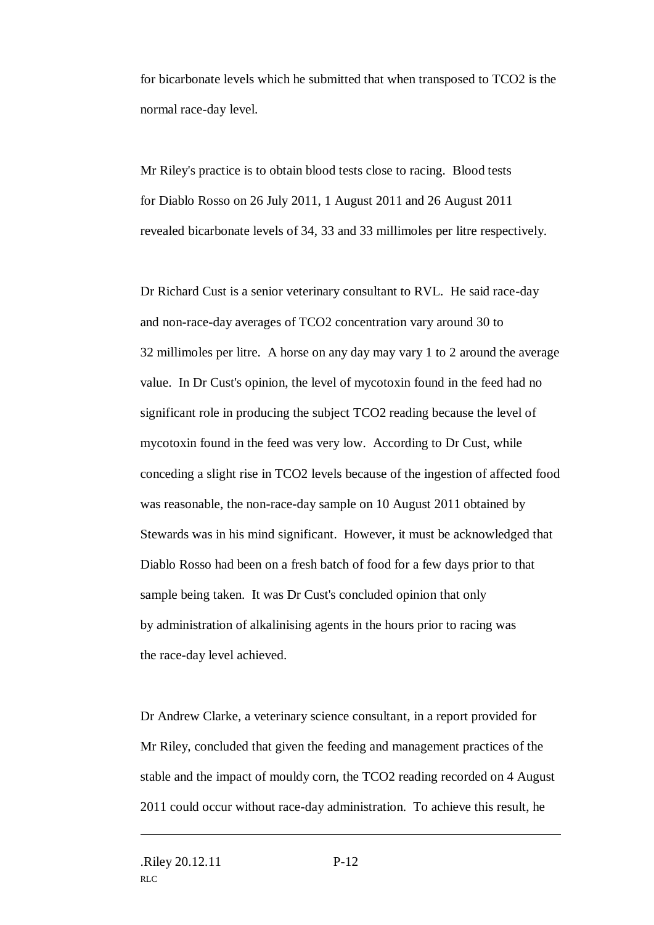for bicarbonate levels which he submitted that when transposed to TCO2 is the normal race-day level.

Mr Riley's practice is to obtain blood tests close to racing. Blood tests for Diablo Rosso on 26 July 2011, 1 August 2011 and 26 August 2011 revealed bicarbonate levels of 34, 33 and 33 millimoles per litre respectively.

Dr Richard Cust is a senior veterinary consultant to RVL. He said race-day and non-race-day averages of TCO2 concentration vary around 30 to 32 millimoles per litre. A horse on any day may vary 1 to 2 around the average value. In Dr Cust's opinion, the level of mycotoxin found in the feed had no significant role in producing the subject TCO2 reading because the level of mycotoxin found in the feed was very low. According to Dr Cust, while conceding a slight rise in TCO2 levels because of the ingestion of affected food was reasonable, the non-race-day sample on 10 August 2011 obtained by Stewards was in his mind significant. However, it must be acknowledged that Diablo Rosso had been on a fresh batch of food for a few days prior to that sample being taken. It was Dr Cust's concluded opinion that only by administration of alkalinising agents in the hours prior to racing was the race-day level achieved.

Dr Andrew Clarke, a veterinary science consultant, in a report provided for Mr Riley, concluded that given the feeding and management practices of the stable and the impact of mouldy corn, the TCO2 reading recorded on 4 August 2011 could occur without race-day administration. To achieve this result, he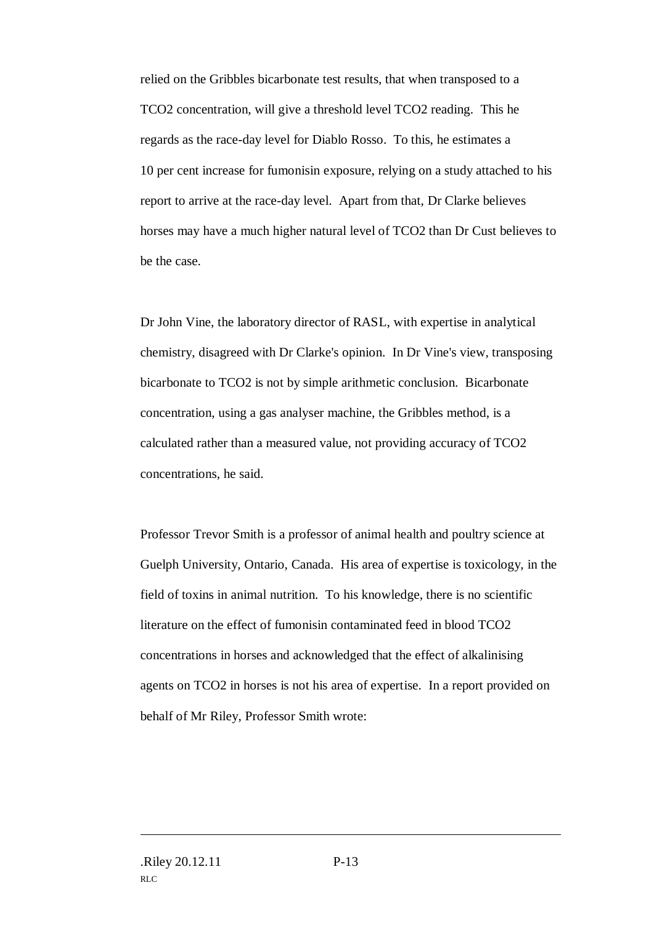relied on the Gribbles bicarbonate test results, that when transposed to a TCO2 concentration, will give a threshold level TCO2 reading. This he regards as the race-day level for Diablo Rosso. To this, he estimates a 10 per cent increase for fumonisin exposure, relying on a study attached to his report to arrive at the race-day level. Apart from that, Dr Clarke believes horses may have a much higher natural level of TCO2 than Dr Cust believes to be the case.

Dr John Vine, the laboratory director of RASL, with expertise in analytical chemistry, disagreed with Dr Clarke's opinion. In Dr Vine's view, transposing bicarbonate to TCO2 is not by simple arithmetic conclusion. Bicarbonate concentration, using a gas analyser machine, the Gribbles method, is a calculated rather than a measured value, not providing accuracy of TCO2 concentrations, he said.

Professor Trevor Smith is a professor of animal health and poultry science at Guelph University, Ontario, Canada. His area of expertise is toxicology, in the field of toxins in animal nutrition. To his knowledge, there is no scientific literature on the effect of fumonisin contaminated feed in blood TCO2 concentrations in horses and acknowledged that the effect of alkalinising agents on TCO2 in horses is not his area of expertise. In a report provided on behalf of Mr Riley, Professor Smith wrote: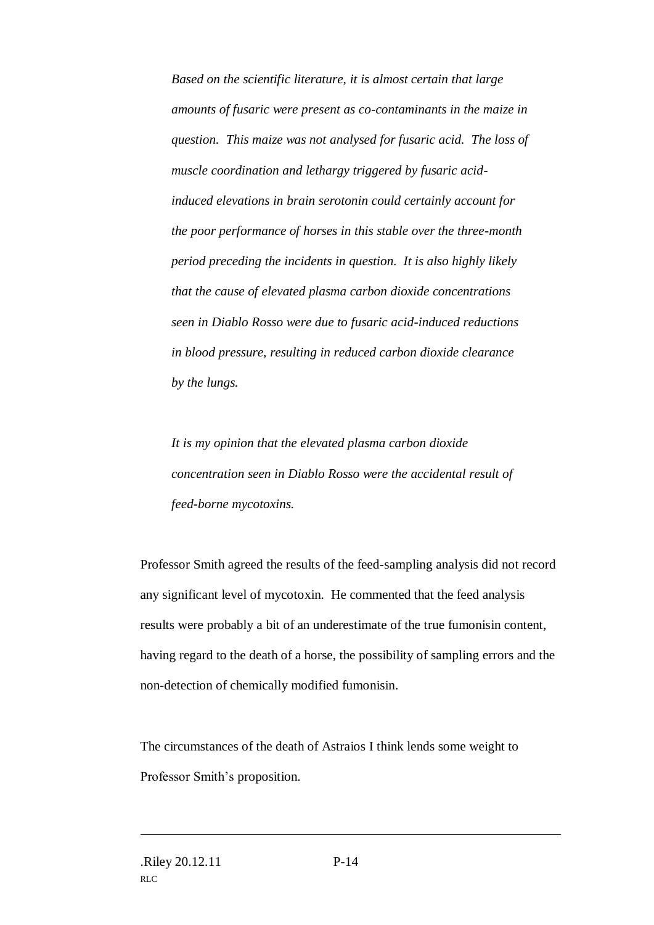*Based on the scientific literature, it is almost certain that large amounts of fusaric were present as co-contaminants in the maize in question. This maize was not analysed for fusaric acid. The loss of muscle coordination and lethargy triggered by fusaric acidinduced elevations in brain serotonin could certainly account for the poor performance of horses in this stable over the three-month period preceding the incidents in question. It is also highly likely that the cause of elevated plasma carbon dioxide concentrations seen in Diablo Rosso were due to fusaric acid-induced reductions in blood pressure, resulting in reduced carbon dioxide clearance by the lungs.*

*It is my opinion that the elevated plasma carbon dioxide concentration seen in Diablo Rosso were the accidental result of feed-borne mycotoxins.*

Professor Smith agreed the results of the feed-sampling analysis did not record any significant level of mycotoxin. He commented that the feed analysis results were probably a bit of an underestimate of the true fumonisin content, having regard to the death of a horse, the possibility of sampling errors and the non-detection of chemically modified fumonisin.

The circumstances of the death of Astraios I think lends some weight to Professor Smith's proposition.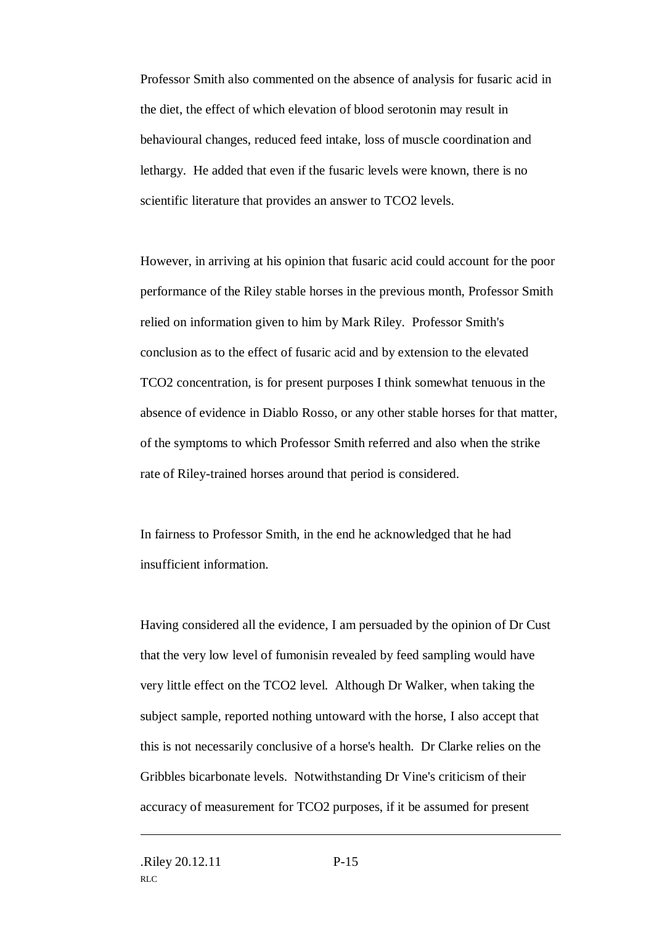Professor Smith also commented on the absence of analysis for fusaric acid in the diet, the effect of which elevation of blood serotonin may result in behavioural changes, reduced feed intake, loss of muscle coordination and lethargy. He added that even if the fusaric levels were known, there is no scientific literature that provides an answer to TCO2 levels.

However, in arriving at his opinion that fusaric acid could account for the poor performance of the Riley stable horses in the previous month, Professor Smith relied on information given to him by Mark Riley. Professor Smith's conclusion as to the effect of fusaric acid and by extension to the elevated TCO2 concentration, is for present purposes I think somewhat tenuous in the absence of evidence in Diablo Rosso, or any other stable horses for that matter, of the symptoms to which Professor Smith referred and also when the strike rate of Riley-trained horses around that period is considered.

In fairness to Professor Smith, in the end he acknowledged that he had insufficient information.

Having considered all the evidence, I am persuaded by the opinion of Dr Cust that the very low level of fumonisin revealed by feed sampling would have very little effect on the TCO2 level. Although Dr Walker, when taking the subject sample, reported nothing untoward with the horse, I also accept that this is not necessarily conclusive of a horse's health. Dr Clarke relies on the Gribbles bicarbonate levels. Notwithstanding Dr Vine's criticism of their accuracy of measurement for TCO2 purposes, if it be assumed for present